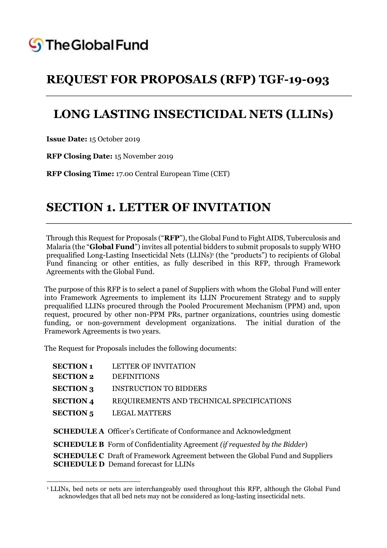

# **LONG LASTING INSECTICIDAL NETS (LLINs)**

**Issue Date:** 15 October 2019

**.** 

**RFP Closing Date:** 15 November 2019

**RFP Closing Time:** 17.00 Central European Time (CET)

## **SECTION 1. LETTER OF INVITATION**

Through this Request for Proposals ("**RFP**"), the Global Fund to Fight AIDS, Tuberculosis and Malaria (the "**Global Fund**") invites all potential bidders to submit proposals to supply WHO prequalified Long-Lasting Insecticidal Nets (LLINs)<sup>1</sup> (the "products") to recipients of Global Fund financing or other entities, as fully described in this RFP, through Framework Agreements with the Global Fund.

The purpose of this RFP is to select a panel of Suppliers with whom the Global Fund will enter into Framework Agreements to implement its LLIN Procurement Strategy and to supply prequalified LLINs procured through the Pooled Procurement Mechanism (PPM) and, upon request, procured by other non-PPM PRs, partner organizations, countries using domestic funding, or non-government development organizations. The initial duration of the Framework Agreements is two years.

The Request for Proposals includes the following documents:

| <b>SECTION 1</b> | <b>LETTER OF INVITATION</b>                                                             |
|------------------|-----------------------------------------------------------------------------------------|
| <b>SECTION 2</b> | <b>DEFINITIONS</b>                                                                      |
| <b>SECTION 3</b> | <b>INSTRUCTION TO BIDDERS</b>                                                           |
| <b>SECTION 4</b> | REQUIREMENTS AND TECHNICAL SPECIFICATIONS                                               |
| <b>SECTION 5</b> | <b>LEGAL MATTERS</b>                                                                    |
|                  |                                                                                         |
|                  | <b>SCHEDULE A</b> Officer's Certificate of Conformance and Acknowledgment               |
|                  | <b>SCHEDULE B</b> Form of Confidentiality Agreement <i>(if requested by the Bidder)</i> |
|                  | <b>SCHEDULE C</b> Draft of Framework Agreement between the Global Fund and Suppliers    |
|                  | <b>SCHEDULE D</b> Demand forecast for LLINs                                             |

<sup>&</sup>lt;sup>1</sup> LLINs, bed nets or nets are interchangeably used throughout this RFP, although the Global Fund acknowledges that all bed nets may not be considered as long-lasting insecticidal nets.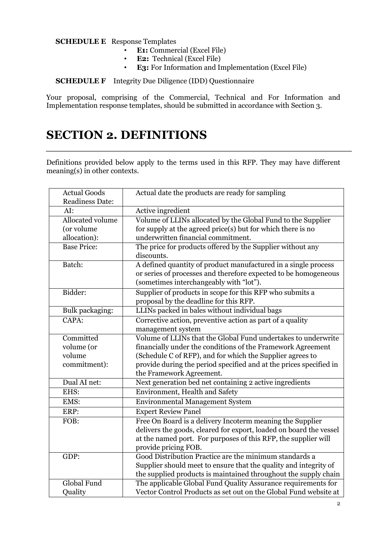**SCHEDULE E** Response Templates

- **E1:** Commercial (Excel File)
- **E2:** Technical (Excel File)<br>• **E3:** For Information and In
- **E3:** For Information and Implementation (Excel File)

**SCHEDULE F** Integrity Due Diligence (IDD) Questionnaire

Your proposal, comprising of the Commercial, Technical and For Information and Implementation response templates, should be submitted in accordance with Section 3.

# **SECTION 2. DEFINITIONS**

Definitions provided below apply to the terms used in this RFP. They may have different meaning(s) in other contexts.

| <b>Actual Goods</b>                                               | Actual date the products are ready for sampling                    |  |
|-------------------------------------------------------------------|--------------------------------------------------------------------|--|
| <b>Readiness Date:</b>                                            |                                                                    |  |
| AI:                                                               | Active ingredient                                                  |  |
| Allocated volume                                                  | Volume of LLINs allocated by the Global Fund to the Supplier       |  |
| (or volume)                                                       | for supply at the agreed price(s) but for which there is no        |  |
| allocation):                                                      | underwritten financial commitment.                                 |  |
| <b>Base Price:</b>                                                | The price for products offered by the Supplier without any         |  |
|                                                                   | discounts.                                                         |  |
| Batch:                                                            | A defined quantity of product manufactured in a single process     |  |
|                                                                   | or series of processes and therefore expected to be homogeneous    |  |
|                                                                   | (sometimes interchangeably with "lot").                            |  |
| Bidder:                                                           | Supplier of products in scope for this RFP who submits a           |  |
|                                                                   | proposal by the deadline for this RFP.                             |  |
| Bulk packaging:                                                   | LLINs packed in bales without individual bags                      |  |
| CAPA:                                                             | Corrective action, preventive action as part of a quality          |  |
|                                                                   | management system                                                  |  |
| Committed                                                         | Volume of LLINs that the Global Fund undertakes to underwrite      |  |
| volume (or                                                        | financially under the conditions of the Framework Agreement        |  |
| volume                                                            | (Schedule C of RFP), and for which the Supplier agrees to          |  |
| commitment):                                                      | provide during the period specified and at the prices specified in |  |
|                                                                   | the Framework Agreement.                                           |  |
| Dual AI net:                                                      | Next generation bed net containing 2 active ingredients            |  |
| EHS:                                                              | Environment, Health and Safety                                     |  |
| EMS:                                                              | <b>Environmental Management System</b>                             |  |
| ERP:                                                              | <b>Expert Review Panel</b>                                         |  |
| Free On Board is a delivery Incoterm meaning the Supplier<br>FOB: |                                                                    |  |
|                                                                   | delivers the goods, cleared for export, loaded on board the vessel |  |
|                                                                   | at the named port. For purposes of this RFP, the supplier will     |  |
|                                                                   | provide pricing FOB.                                               |  |
| GDP:                                                              | Good Distribution Practice are the minimum standards a             |  |
|                                                                   | Supplier should meet to ensure that the quality and integrity of   |  |
|                                                                   | the supplied products is maintained throughout the supply chain    |  |
| Global Fund                                                       | The applicable Global Fund Quality Assurance requirements for      |  |
| Quality                                                           | Vector Control Products as set out on the Global Fund website at   |  |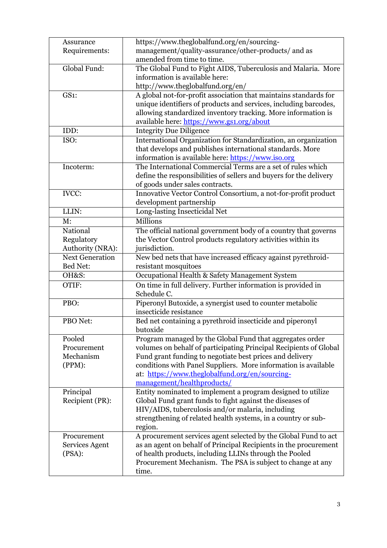| Assurance              | https://www.theglobalfund.org/en/sourcing-                                 |  |
|------------------------|----------------------------------------------------------------------------|--|
| Requirements:          | management/quality-assurance/other-products/ and as                        |  |
|                        | amended from time to time.                                                 |  |
| Global Fund:           | The Global Fund to Fight AIDS, Tuberculosis and Malaria. More              |  |
|                        | information is available here:                                             |  |
|                        | http://www.theglobalfund.org/en/                                           |  |
| GS1:                   | A global not-for-profit association that maintains standards for           |  |
|                        | unique identifiers of products and services, including barcodes,           |  |
|                        | allowing standardized inventory tracking. More information is              |  |
|                        | available here: https://www.gs1.org/about                                  |  |
| IDD:                   | <b>Integrity Due Diligence</b>                                             |  |
| ISO:                   | International Organization for Standardization, an organization            |  |
|                        | that develops and publishes international standards. More                  |  |
|                        | information is available here: https://www.iso.org                         |  |
| Incoterm:              | The International Commercial Terms are a set of rules which                |  |
|                        | define the responsibilities of sellers and buyers for the delivery         |  |
|                        | of goods under sales contracts.                                            |  |
| <b>IVCC:</b>           | Innovative Vector Control Consortium, a not-for-profit product             |  |
|                        | development partnership                                                    |  |
| LLIN:                  | Long-lasting Insecticidal Net                                              |  |
| M:                     | Millions                                                                   |  |
| National               | The official national government body of a country that governs            |  |
| Regulatory             | the Vector Control products regulatory activities within its               |  |
| Authority (NRA):       | jurisdiction.                                                              |  |
| <b>Next Generation</b> | New bed nets that have increased efficacy against pyrethroid-              |  |
| Bed Net:               | resistant mosquitoes                                                       |  |
| OH&S:                  | Occupational Health & Safety Management System                             |  |
| OTIF:                  | On time in full delivery. Further information is provided in               |  |
|                        | Schedule C.                                                                |  |
| PBO:                   | Piperonyl Butoxide, a synergist used to counter metabolic                  |  |
|                        | insecticide resistance                                                     |  |
| PBO Net:               | Bed net containing a pyrethroid insecticide and piperonyl                  |  |
|                        | butoxide                                                                   |  |
| Pooled                 | Program managed by the Global Fund that aggregates order                   |  |
| Procurement            | volumes on behalf of participating Principal Recipients of Global          |  |
| Mechanism              | Fund grant funding to negotiate best prices and delivery                   |  |
| (PPM):                 | conditions with Panel Suppliers. More information is available             |  |
|                        | at: https://www.theglobalfund.org/en/sourcing-                             |  |
|                        | management/healthproducts/                                                 |  |
| Principal              | Entity nominated to implement a program designed to utilize                |  |
| Recipient (PR):        | Global Fund grant funds to fight against the diseases of                   |  |
|                        | HIV/AIDS, tuberculosis and/or malaria, including                           |  |
|                        | strengthening of related health systems, in a country or sub-              |  |
| Procurement            | region.<br>A procurement services agent selected by the Global Fund to act |  |
| Services Agent         | as an agent on behalf of Principal Recipients in the procurement           |  |
| (PSA):                 | of health products, including LLINs through the Pooled                     |  |
|                        | Procurement Mechanism. The PSA is subject to change at any                 |  |
|                        | time.                                                                      |  |
|                        |                                                                            |  |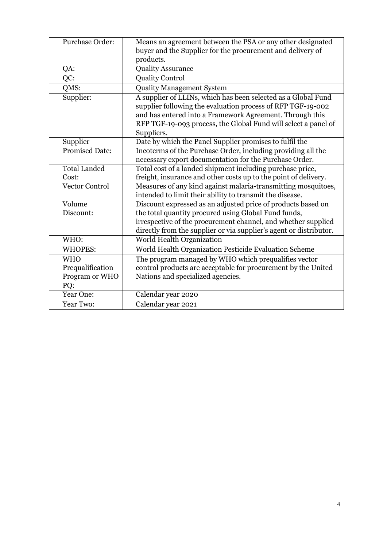| Purchase Order:       | Means an agreement between the PSA or any other designated<br>buyer and the Supplier for the procurement and delivery of |  |
|-----------------------|--------------------------------------------------------------------------------------------------------------------------|--|
|                       | products.                                                                                                                |  |
| QA:                   | <b>Quality Assurance</b>                                                                                                 |  |
| $\overline{QC}$ :     | <b>Quality Control</b>                                                                                                   |  |
| QMS:                  | <b>Quality Management System</b>                                                                                         |  |
| Supplier:             | A supplier of LLINs, which has been selected as a Global Fund                                                            |  |
|                       | supplier following the evaluation process of RFP TGF-19-002                                                              |  |
|                       | and has entered into a Framework Agreement. Through this                                                                 |  |
|                       | RFP TGF-19-093 process, the Global Fund will select a panel of                                                           |  |
|                       | Suppliers.                                                                                                               |  |
| Supplier              | Date by which the Panel Supplier promises to fulfil the                                                                  |  |
| <b>Promised Date:</b> | Incoterms of the Purchase Order, including providing all the                                                             |  |
|                       | necessary export documentation for the Purchase Order.                                                                   |  |
| <b>Total Landed</b>   | Total cost of a landed shipment including purchase price,                                                                |  |
| Cost:                 | freight, insurance and other costs up to the point of delivery.                                                          |  |
| <b>Vector Control</b> | Measures of any kind against malaria-transmitting mosquitoes,                                                            |  |
|                       | intended to limit their ability to transmit the disease.                                                                 |  |
| Volume                | Discount expressed as an adjusted price of products based on                                                             |  |
| Discount:             | the total quantity procured using Global Fund funds,                                                                     |  |
|                       | irrespective of the procurement channel, and whether supplied                                                            |  |
|                       | directly from the supplier or via supplier's agent or distributor.                                                       |  |
| WHO:                  | World Health Organization                                                                                                |  |
| <b>WHOPES:</b>        | World Health Organization Pesticide Evaluation Scheme                                                                    |  |
| <b>WHO</b>            | The program managed by WHO which prequalifies vector                                                                     |  |
| Prequalification      | control products are acceptable for procurement by the United                                                            |  |
| Program or WHO        | Nations and specialized agencies.                                                                                        |  |
| PQ:                   |                                                                                                                          |  |
| Year One:             | Calendar year 2020                                                                                                       |  |
| Year Two:             | Calendar year 2021                                                                                                       |  |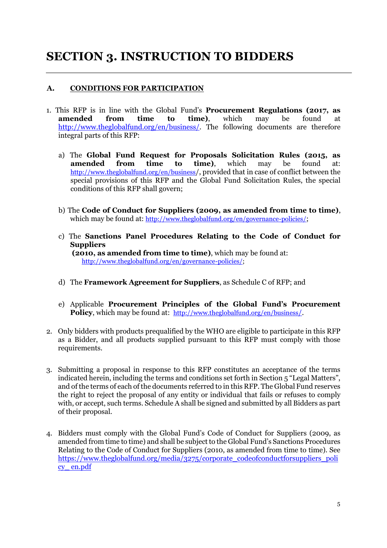# **SECTION 3. INSTRUCTION TO BIDDERS**

## **A. CONDITIONS FOR PARTICIPATION**

- 1. This RFP is in line with the Global Fund's **Procurement Regulations (2017, as amended from time to time)**, which may be found at [http://www.theglobalfund.org/en/business/.](http://www.theglobalfund.org/en/business/) The following documents are therefore integral parts of this RFP:
	- a) The **Global Fund Request for Proposals Solicitation Rules (2015, as amended from time to time)**, which may be found at[:](http://www.theglobalfund.org/en/business) <http://www.theglobalfund.org/en/business>[/,](http://www.theglobalfund.org/en/business) provided that in case of conflict between the special provisions of this RFP and the Global Fund Solicitation Rules, the special conditions of this RFP shall govern;
	- b) The **Code of Conduct for Suppliers (2009, as amended from time to time)**, which may be found at[:](http://www.theglobalfund.org/en/governance-policies/) <http://www.theglobalfund.org/en/governance-policies/>;
	- c) The **Sanctions Panel Procedures Relating to the Code of Conduct for Suppliers (2010, as amended from time to time)**, which may be found at[:](http://www.theglobalfund.org/en/governance-policies/) [http://www.theglobalfund.org/en/governance-policies/;](http://www.theglobalfund.org/en/governance-policies/)
	- d) The **Framework Agreement for Suppliers**, as Schedule C of RFP; and
	- e) Applicable **Procurement Principles of the Global Fund's Procurement Policy**, which may be found at: [http://www.theglobalfund.org/en/business](http://www.theglobalfund.org/en/business/)/.
- 2. Only bidders with products prequalified by the WHO are eligible to participate in this RFP as a Bidder, and all products supplied pursuant to this RFP must comply with those requirements.
- 3. Submitting a proposal in response to this RFP constitutes an acceptance of the terms indicated herein, including the terms and conditions set forth in Section 5 "Legal Matters", and of the terms of each of the documents referred to in this RFP. The Global Fund reserves the right to reject the proposal of any entity or individual that fails or refuses to comply with, or accept, such terms. Schedule A shall be signed and submitted by all Bidders as part of their proposal.
- 4. Bidders must comply with the Global Fund's Code of Conduct for Suppliers (2009, as amended from time to time) and shall be subject to the Global Fund's Sanctions Procedures Relating to the Code of Conduct for Suppliers (2010, as amended from time to time). See [https://www.theglobalfund.org/media/3275/corporate\\_codeofconductforsuppliers\\_poli](https://www.theglobalfund.org/media/3275/corporate_codeofconductforsuppliers_policy_en.pdf) [cy\\_ en.pdf](https://www.theglobalfund.org/media/3275/corporate_codeofconductforsuppliers_policy_en.pdf)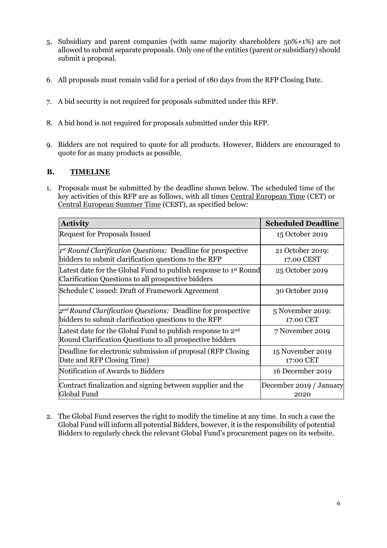- 5. Subsidiary and parent companies (with same majority shareholders 50%+1%) are not allowed to submit separate proposals. Only one of the entities (parent or subsidiary) should submit a proposal.
- 6. All proposals must remain valid for a period of 180 days from the RFP Closing Date.
- 7. A bid security is not required for proposals submitted under this RFP.
- 8. A bid bond is not required for proposals submitted under this RFP.
- 9. Bidders are not required to quote for all products. However, Bidders are encouraged to quote for as many products as possible.

## **B. TIMELINE**

1. Proposals must be submitted by the deadline shown below. The scheduled time of the key activities of this RFP are as follows, with all times Central European Time (CET) or Central European Summer Time (CEST), as specified below:

| <b>Activity</b>                                                                                                                    | <b>Scheduled Deadline</b>       |
|------------------------------------------------------------------------------------------------------------------------------------|---------------------------------|
| <b>Request for Proposals Issued</b>                                                                                                | 15 October 2019                 |
| $\vert x^{\rm st}$ Round Clarification Questions: Deadline for prospective<br>bidders to submit clarification questions to the RFP | 21 October 2019:<br>17.00 CEST  |
| Latest date for the Global Fund to publish response to 1 <sup>st</sup> Round<br>Clarification Questions to all prospective bidders | 25 October 2019                 |
| Schedule C issued: Draft of Framework Agreement                                                                                    | 30 October 2019                 |
| $2^{nd}$ Round Clarification Questions: Deadline for prospective<br>bidders to submit clarification questions to the RFP           | 5 November 2019:<br>17.00 CET   |
| Latest date for the Global Fund to publish response to $2nd$<br>Round Clarification Questions to all prospective bidders           | 7 November 2019                 |
| Deadline for electronic submission of proposal (RFP Closing)<br>Date and RFP Closing Time)                                         | 15 November 2019<br>17:00 CET   |
| Notification of Awards to Bidders                                                                                                  | 16 December 2019                |
| Contract finalization and signing between supplier and the<br>Global Fund                                                          | December 2019 / January<br>2020 |

2. The Global Fund reserves the right to modify the timeline at any time. In such a case the Global Fund will inform all potential Bidders, however, it is the responsibility of potential Bidders to regularly check the relevant Global Fund's procurement pages on its website.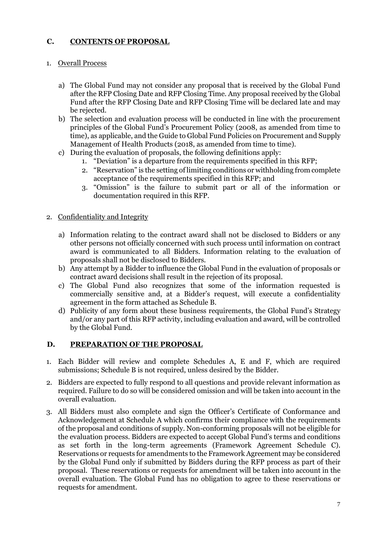## **C. CONTENTS OF PROPOSAL**

### 1. Overall Process

- a) The Global Fund may not consider any proposal that is received by the Global Fund after the RFP Closing Date and RFP Closing Time. Any proposal received by the Global Fund after the RFP Closing Date and RFP Closing Time will be declared late and may be rejected.
- b) The selection and evaluation process will be conducted in line with the procurement principles of the Global Fund's Procurement Policy (2008, as amended from time to time), as applicable, and the Guide to Global Fund Policies on Procurement and Supply Management of Health Products (2018, as amended from time to time).
- c) During the evaluation of proposals, the following definitions apply:
	- 1. "Deviation" is a departure from the requirements specified in this RFP;
	- 2. "Reservation" is the setting of limiting conditions or withholding from complete acceptance of the requirements specified in this RFP; and
	- 3. "Omission" is the failure to submit part or all of the information or documentation required in this RFP.

### 2. Confidentiality and Integrity

- a) Information relating to the contract award shall not be disclosed to Bidders or any other persons not officially concerned with such process until information on contract award is communicated to all Bidders. Information relating to the evaluation of proposals shall not be disclosed to Bidders.
- b) Any attempt by a Bidder to influence the Global Fund in the evaluation of proposals or contract award decisions shall result in the rejection of its proposal.
- c) The Global Fund also recognizes that some of the information requested is commercially sensitive and, at a Bidder's request, will execute a confidentiality agreement in the form attached as Schedule B.
- d) Publicity of any form about these business requirements, the Global Fund's Strategy and/or any part of this RFP activity, including evaluation and award, will be controlled by the Global Fund.

### **D. PREPARATION OF THE PROPOSAL**

- 1. Each Bidder will review and complete Schedules A, E and F, which are required submissions; Schedule B is not required, unless desired by the Bidder.
- 2. Bidders are expected to fully respond to all questions and provide relevant information as required. Failure to do so will be considered omission and will be taken into account in the overall evaluation.
- 3. All Bidders must also complete and sign the Officer's Certificate of Conformance and Acknowledgement at Schedule A which confirms their compliance with the requirements of the proposal and conditions of supply. Non-conforming proposals will not be eligible for the evaluation process. Bidders are expected to accept Global Fund's terms and conditions as set forth in the long-term agreements (Framework Agreement Schedule C). Reservations or requests for amendments to the Framework Agreement may be considered by the Global Fund only if submitted by Bidders during the RFP process as part of their proposal. These reservations or requests for amendment will be taken into account in the overall evaluation. The Global Fund has no obligation to agree to these reservations or requests for amendment.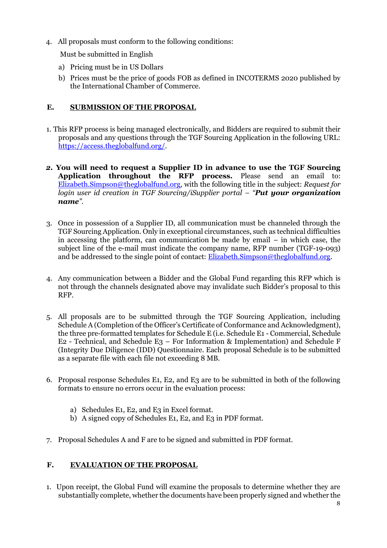4. All proposals must conform to the following conditions:

Must be submitted in English

- a) Pricing must be in US Dollars
- b) Prices must be the price of goods FOB as defined in INCOTERMS 2020 published by the International Chamber of Commerce.

## **E. SUBMISSION OF THE PROPOSAL**

- 1. This RFP process is being managed electronically, and Bidders are required to submit their proposals and any questions through the TGF Sourcing Application in the following URL[:](https://access.theglobalfund.org/) [https://access.theglobalfund.org/.](https://access.theglobalfund.org/)
- *2.* **You will need to request a Supplier ID in advance to use the TGF Sourcing Application throughout the RFP process.** Please send an email to: Elizabeth.Simpson@theglobalfund.org, with the following title in the subject: *Request for login user id creation in TGF Sourcing/iSupplier portal – "Put your organization name".*
- 3. Once in possession of a Supplier ID, all communication must be channeled through the TGF Sourcing Application. Only in exceptional circumstances, such as technical difficulties in accessing the platform, can communication be made by email – in which case, the subject line of the e-mail must indicate the company name, RFP number (TGF-19-093) and be addressed to the single point of contact: Elizabeth.Simpson@theglobalfund.org.
- 4. Any communication between a Bidder and the Global Fund regarding this RFP which is not through the channels designated above may invalidate such Bidder's proposal to this RFP.
- 5. All proposals are to be submitted through the TGF Sourcing Application, including Schedule A (Completion of the Officer's Certificate of Conformance and Acknowledgment), the three pre-formatted templates for Schedule E (i.e. Schedule E1 - Commercial, Schedule  $E2$  - Technical, and Schedule E3 – For Information & Implementation) and Schedule F (Integrity Due Diligence (IDD) Questionnaire. Each proposal Schedule is to be submitted as a separate file with each file not exceeding 8 MB.
- 6. Proposal response Schedules E1, E2, and E3 are to be submitted in both of the following formats to ensure no errors occur in the evaluation process:
	- a) Schedules E1, E2, and E3 in Excel format.
	- b) A signed copy of Schedules E1, E2, and E3 in PDF format.
- 7. Proposal Schedules A and F are to be signed and submitted in PDF format.

## **F. EVALUATION OF THE PROPOSAL**

1. Upon receipt, the Global Fund will examine the proposals to determine whether they are substantially complete, whether the documents have been properly signed and whether the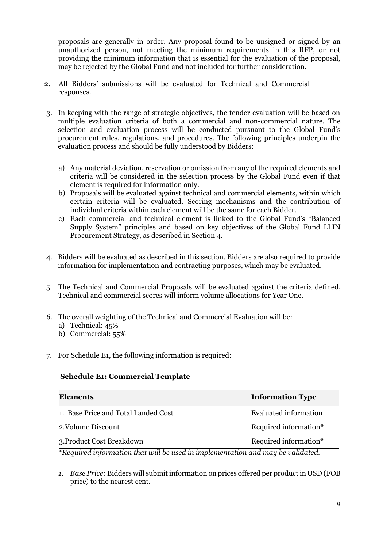proposals are generally in order. Any proposal found to be unsigned or signed by an unauthorized person, not meeting the minimum requirements in this RFP, or not providing the minimum information that is essential for the evaluation of the proposal, may be rejected by the Global Fund and not included for further consideration.

- 2. All Bidders' submissions will be evaluated for Technical and Commercial responses.
- 3. In keeping with the range of strategic objectives, the tender evaluation will be based on multiple evaluation criteria of both a commercial and non-commercial nature. The selection and evaluation process will be conducted pursuant to the Global Fund's procurement rules, regulations, and procedures. The following principles underpin the evaluation process and should be fully understood by Bidders:
	- a) Any material deviation, reservation or omission from any of the required elements and criteria will be considered in the selection process by the Global Fund even if that element is required for information only.
	- b) Proposals will be evaluated against technical and commercial elements, within which certain criteria will be evaluated. Scoring mechanisms and the contribution of individual criteria within each element will be the same for each Bidder.
	- c) Each commercial and technical element is linked to the Global Fund's "Balanced Supply System" principles and based on key objectives of the Global Fund LLIN Procurement Strategy, as described in Section 4.
- 4. Bidders will be evaluated as described in this section. Bidders are also required to provide information for implementation and contracting purposes, which may be evaluated.
- 5. The Technical and Commercial Proposals will be evaluated against the criteria defined, Technical and commercial scores will inform volume allocations for Year One.
- 6. The overall weighting of the Technical and Commercial Evaluation will be:
	- a) Technical: 45%
	- b) Commercial: 55%
- 7. For Schedule E1, the following information is required:

### **Schedule E1: Commercial Template**

| Elements                            | <b>Information Type</b> |
|-------------------------------------|-------------------------|
| 1. Base Price and Total Landed Cost | Evaluated information   |
| 2.Volume Discount                   | Required information*   |
| 3. Product Cost Breakdown           | Required information*   |

*\*Required information that will be used in implementation and may be validated.* 

*1. Base Price:* Bidders will submit information on prices offered per product in USD (FOB price) to the nearest cent.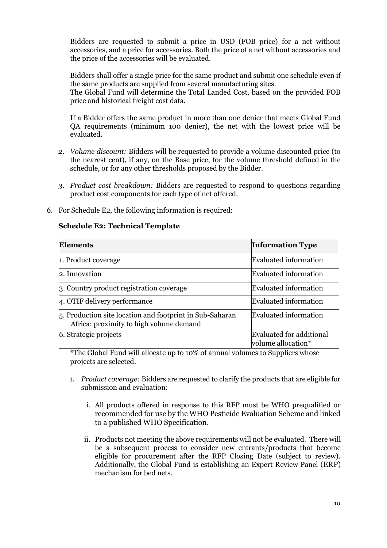Bidders are requested to submit a price in USD (FOB price) for a net without accessories, and a price for accessories. Both the price of a net without accessories and the price of the accessories will be evaluated.

Bidders shall offer a single price for the same product and submit one schedule even if the same products are supplied from several manufacturing sites.

The Global Fund will determine the Total Landed Cost, based on the provided FOB price and historical freight cost data.

If a Bidder offers the same product in more than one denier that meets Global Fund QA requirements (minimum 100 denier), the net with the lowest price will be evaluated.

- *2. Volume discount:* Bidders will be requested to provide a volume discounted price (to the nearest cent), if any, on the Base price, for the volume threshold defined in the schedule, or for any other thresholds proposed by the Bidder.
- *3. Product cost breakdown:* Bidders are requested to respond to questions regarding product cost components for each type of net offered.
- 6. For Schedule E2, the following information is required:

### **Schedule E2: Technical Template**

| <b>Elements</b>                                                                                                         | <b>Information Type</b>                        |
|-------------------------------------------------------------------------------------------------------------------------|------------------------------------------------|
| 1. Product coverage                                                                                                     | <b>Evaluated information</b>                   |
| 2. Innovation                                                                                                           | <b>Evaluated information</b>                   |
| 3. Country product registration coverage                                                                                | <b>Evaluated information</b>                   |
| 4. OTIF delivery performance                                                                                            | <b>Evaluated information</b>                   |
| $\vert$ <sub>5</sub> . Production site location and footprint in Sub-Saharan<br>Africa: proximity to high volume demand | <b>Evaluated information</b>                   |
| 6. Strategic projects                                                                                                   | Evaluated for additional<br>volume allocation* |

\*The Global Fund will allocate up to 10% of annual volumes to Suppliers whose projects are selected.

- 1. *Product coverage:* Bidders are requested to clarify the products that are eligible for submission and evaluation:
	- i. All products offered in response to this RFP must be WHO prequalified or recommended for use by the WHO Pesticide Evaluation Scheme and linked to a published WHO Specification.
	- ii. Products not meeting the above requirements will not be evaluated. There will be a subsequent process to consider new entrants/products that become eligible for procurement after the RFP Closing Date (subject to review). Additionally, the Global Fund is establishing an Expert Review Panel (ERP) mechanism for bed nets.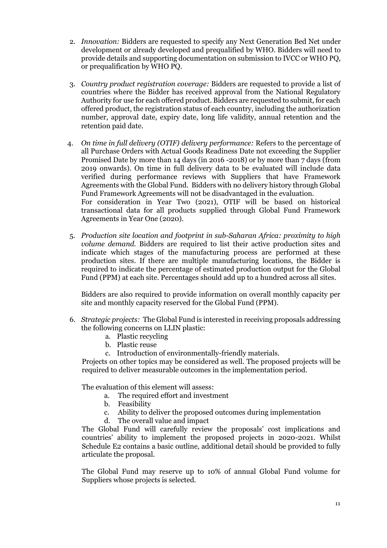- 2. *Innovation:* Bidders are requested to specify any Next Generation Bed Net under development or already developed and prequalified by WHO. Bidders will need to provide details and supporting documentation on submission to IVCC or WHO PQ, or prequalification by WHO PQ.
- 3. *Country product registration coverage:* Bidders are requested to provide a list of countries where the Bidder has received approval from the National Regulatory Authority for use for each offered product. Bidders are requested to submit, for each offered product, the registration status of each country, including the authorization number, approval date, expiry date, long life validity, annual retention and the retention paid date.
- 4. *On time in full delivery (OTIF) delivery performance:* Refers to the percentage of all Purchase Orders with Actual Goods Readiness Date not exceeding the Supplier Promised Date by more than 14 days (in 2016 -2018) or by more than 7 days (from 2019 onwards). On time in full delivery data to be evaluated will include data verified during performance reviews with Suppliers that have Framework Agreements with the Global Fund. Bidders with no delivery history through Global Fund Framework Agreements will not be disadvantaged in the evaluation. For consideration in Year Two (2021), OTIF will be based on historical transactional data for all products supplied through Global Fund Framework Agreements in Year One (2020).
- 5. *Production site location and footprint in sub-Saharan Africa: proximity to high volume demand.* Bidders are required to list their active production sites and indicate which stages of the manufacturing process are performed at these production sites. If there are multiple manufacturing locations, the Bidder is required to indicate the percentage of estimated production output for the Global Fund (PPM) at each site. Percentages should add up to a hundred across all sites.

Bidders are also required to provide information on overall monthly capacity per site and monthly capacity reserved for the Global Fund (PPM).

- 6. *Strategic projects:* The Global Fund is interested in receiving proposals addressing the following concerns on LLIN plastic:
	- a. Plastic recycling
	- b. Plastic reuse
	- c. Introduction of environmentally-friendly materials.

Projects on other topics may be considered as well. The proposed projects will be required to deliver measurable outcomes in the implementation period.

The evaluation of this element will assess:

- a. The required effort and investment
- b. Feasibility
- c. Ability to deliver the proposed outcomes during implementation
- d. The overall value and impact

The Global Fund will carefully review the proposals' cost implications and countries' ability to implement the proposed projects in 2020-2021. Whilst Schedule E2 contains a basic outline, additional detail should be provided to fully articulate the proposal.

The Global Fund may reserve up to 10% of annual Global Fund volume for Suppliers whose projects is selected.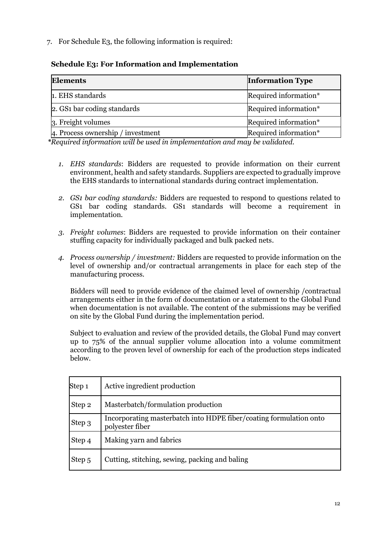7. For Schedule E3, the following information is required:

## **Schedule E3: For Information and Implementation**

| <b>Elements</b>                   | <b>Information Type</b> |
|-----------------------------------|-------------------------|
| 1. EHS standards                  | Required information*   |
| 2. GS1 bar coding standards       | Required information*   |
| 3. Freight volumes                | Required information*   |
| 4. Process ownership / investment | Required information*   |

*\*Required information will be used in implementation and may be validated.* 

- *1. EHS standards*: Bidders are requested to provide information on their current environment, health and safety standards. Suppliers are expected to gradually improve the EHS standards to international standards during contract implementation.
- *2. GS1 bar coding standards:* Bidders are requested to respond to questions related to GS1 bar coding standards. GS1 standards will become a requirement in implementation.
- *3. Freight volumes*: Bidders are requested to provide information on their container stuffing capacity for individually packaged and bulk packed nets.
- *4. Process ownership / investment:* Bidders are requested to provide information on the level of ownership and/or contractual arrangements in place for each step of the manufacturing process.

Bidders will need to provide evidence of the claimed level of ownership /contractual arrangements either in the form of documentation or a statement to the Global Fund when documentation is not available. The content of the submissions may be verified on site by the Global Fund during the implementation period.

Subject to evaluation and review of the provided details, the Global Fund may convert up to 75% of the annual supplier volume allocation into a volume commitment according to the proven level of ownership for each of the production steps indicated below.

| Step <sub>1</sub> | Active ingredient production                                                          |
|-------------------|---------------------------------------------------------------------------------------|
| Step 2            | Masterbatch/formulation production                                                    |
| Step 3            | Incorporating masterbatch into HDPE fiber/coating formulation onto<br>polyester fiber |
| Step 4            | Making yarn and fabrics                                                               |
| Step 5            | Cutting, stitching, sewing, packing and baling                                        |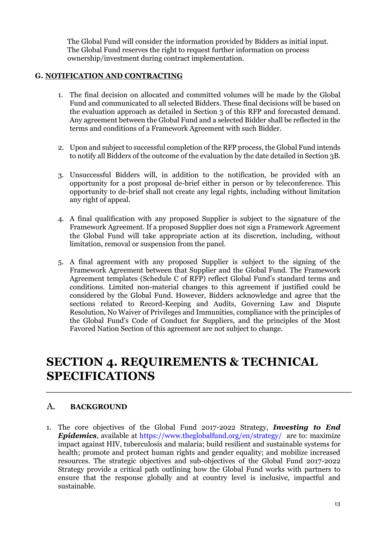The Global Fund will consider the information provided by Bidders as initial input. The Global Fund reserves the right to request further information on process ownership/investment during contract implementation.

## **G. NOTIFICATION AND CONTRACTING**

- 1. The final decision on allocated and committed volumes will be made by the Global Fund and communicated to all selected Bidders. These final decisions will be based on the evaluation approach as detailed in Section 3 of this RFP and forecasted demand. Any agreement between the Global Fund and a selected Bidder shall be reflected in the terms and conditions of a Framework Agreement with such Bidder.
- 2. Upon and subject to successful completion of the RFP process, the Global Fund intends to notify all Bidders of the outcome of the evaluation by the date detailed in Section 3B.
- 3. Unsuccessful Bidders will, in addition to the notification, be provided with an opportunity for a post proposal de-brief either in person or by teleconference. This opportunity to de-brief shall not create any legal rights, including without limitation any right of appeal.
- 4. A final qualification with any proposed Supplier is subject to the signature of the Framework Agreement. If a proposed Supplier does not sign a Framework Agreement the Global Fund will take appropriate action at its discretion, including, without limitation, removal or suspension from the panel.
- 5. A final agreement with any proposed Supplier is subject to the signing of the Framework Agreement between that Supplier and the Global Fund. The Framework Agreement templates (Schedule C of RFP) reflect Global Fund's standard terms and conditions. Limited non-material changes to this agreement if justified could be considered by the Global Fund. However, Bidders acknowledge and agree that the sections related to Record-Keeping and Audits, Governing Law and Dispute Resolution, No Waiver of Privileges and Immunities, compliance with the principles of the Global Fund's Code of Conduct for Suppliers, and the principles of the Most Favored Nation Section of this agreement are not subject to change.

# **SECTION 4. REQUIREMENTS & TECHNICAL SPECIFICATIONS**

## A. **BACKGROUND**

1. The core objectives of the Global Fund 2017-2022 Strategy, *Investing to End Epidemics*, available a[t](https://www.theglobalfund.org/en/strategy/) <https://www.theglobalfund.org/en/strategy/> are to: maximize impact against HIV, tuberculosis and malaria; build resilient and sustainable systems for health; promote and protect human rights and gender equality; and mobilize increased resources. The strategic objectives and sub-objectives of the Global Fund 2017-2022 Strategy provide a critical path outlining how the Global Fund works with partners to ensure that the response globally and at country level is inclusive, impactful and sustainable.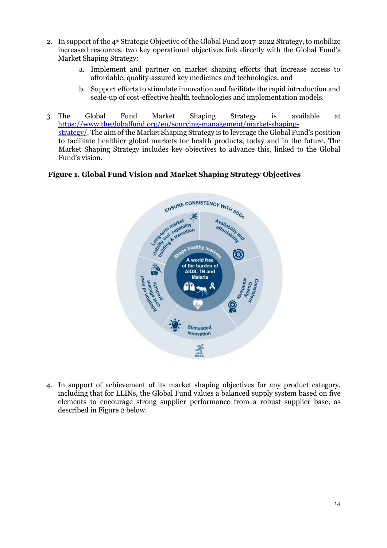- 2. In support of the  $4<sup>th</sup>$  Strategic Objective of the Global Fund 2017-2022 Strategy, to mobilize increased resources, two key operational objectives link directly with the Global Fund's Market Shaping Strategy:
	- a. Implement and partner on market shaping efforts that increase access to affordable, quality-assured key medicines and technologies; and
	- b. Support efforts to stimulate innovation and facilitate the rapid introduction and scale-up of cost-effective health technologies and implementation models.
- 3. The Global Fund Market Shaping Strategy is available a[t](https://www.theglobalfund.org/en/sourcing-management/market-shaping-strategy/) [https://www.theglobalfund.org/en/sourcing-management/market-shaping](https://www.theglobalfund.org/en/sourcing-management/market-shaping-strategy/)[strategy/.](https://www.theglobalfund.org/en/sourcing-management/market-shaping-strategy/) The aim of the Market Shaping Strategy is to leverage the Global Fund's position to facilitate healthier global markets for health products, today and in the future. The Market Shaping Strategy includes key objectives to advance this, linked to the Global Fund's vision.

### **Figure 1. Global Fund Vision and Market Shaping Strategy Objectives**



4. In support of achievement of its market shaping objectives for any product category, including that for LLINs, the Global Fund values a balanced supply system based on five elements to encourage strong supplier performance from a robust supplier base, as described in Figure 2 below.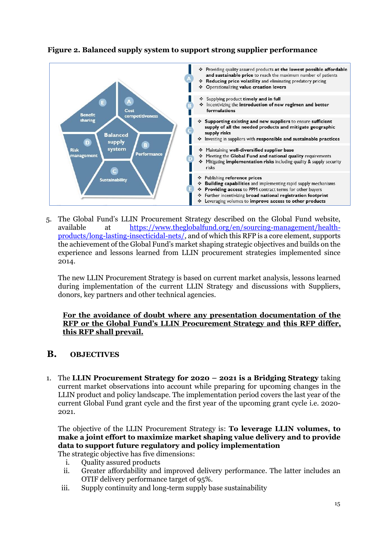

## **Figure 2. Balanced supply system to support strong supplier performance**

5. The Global Fund's LLIN Procurement Strategy described on the Global Fund website, available at [https://www.theglobalfund.org/en/sourcing-management/health](https://www.theglobalfund.org/en/sourcing-management/health-products/long-lasting-insecticidal-nets/)[products/long-lasting-insecticidal-nets/](https://www.theglobalfund.org/en/sourcing-management/health-products/long-lasting-insecticidal-nets/)[,](https://www.theglobalfund.org/en/sourcing-management/health-products/hiv-malaria-rapid-diagnostic-tests/) and of which this RFP is a core element, supports the achievement of the Global Fund's market shaping strategic objectives and builds on the experience and lessons learned from LLIN procurement strategies implemented since 2014.

The new LLIN Procurement Strategy is based on current market analysis, lessons learned during implementation of the current LLIN Strategy and discussions with Suppliers, donors, key partners and other technical agencies.

### **For the avoidance of doubt where any presentation documentation of the RFP or the Global Fund's LLIN Procurement Strategy and this RFP differ, this RFP shall prevail.**

## **B. OBJECTIVES**

1. The **LLIN Procurement Strategy for 2020 – 2021 is a Bridging Strategy** taking current market observations into account while preparing for upcoming changes in the LLIN product and policy landscape. The implementation period covers the last year of the current Global Fund grant cycle and the first year of the upcoming grant cycle i.e. 2020- 2021.

The objective of the LLIN Procurement Strategy is: **To leverage LLIN volumes, to make a joint effort to maximize market shaping value delivery and to provide data to support future regulatory and policy implementation** The strategic objective has five dimensions:

- i. Quality assured products
- ii. Greater affordability and improved delivery performance. The latter includes an OTIF delivery performance target of 95%.
- iii. Supply continuity and long-term supply base sustainability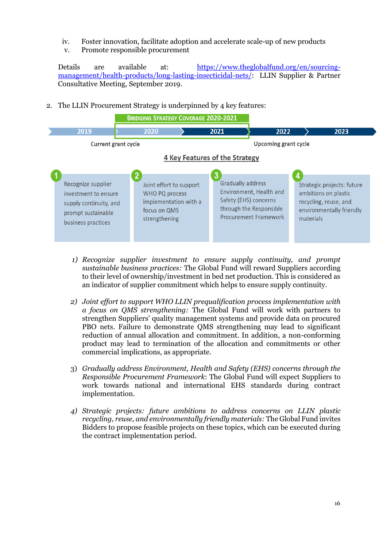- iv. Foster innovation, facilitate adoption and accelerate scale-up of new products
- v. Promote responsible procurement

Details are available at[:](https://www.theglobalfund.org/en/sourcing-management/health-products/hiv-malaria-rapid-diagnostic-tests/) [https://www.theglobalfund.org/en/sourcing](https://www.theglobalfund.org/en/sourcing-management/health-products/long-lasting-insecticidal-nets/)[management/health-products/long-lasting-insecticidal-nets/](https://www.theglobalfund.org/en/sourcing-management/health-products/long-lasting-insecticidal-nets/)[:](https://www.theglobalfund.org/en/sourcing-management/health-products/hiv-malaria-rapid-diagnostic-tests/) LLIN Supplier & Partner Consultative Meeting, September 2019.

2. The LLIN Procurement Strategy is underpinned by 4 key features:



- *1) Recognize supplier investment to ensure supply continuity, and prompt sustainable business practices:* The Global Fund will reward Suppliers according to their level of ownership/investment in bed net production. This is considered as an indicator of supplier commitment which helps to ensure supply continuity.
- *2) Joint effort to support WHO LLIN prequalification process implementation with a focus on QMS strengthening:* The Global Fund will work with partners to strengthen Suppliers' quality management systems and provide data on procured PBO nets. Failure to demonstrate QMS strengthening may lead to significant reduction of annual allocation and commitment. In addition, a non-conforming product may lead to termination of the allocation and commitments or other commercial implications, as appropriate.
- 3) *Gradually address Environment, Health and Safety (EHS) concerns through the Responsible Procurement Framework*: The Global Fund will expect Suppliers to work towards national and international EHS standards during contract implementation.
- *4) Strategic projects: future ambitions to address concerns on LLIN plastic recycling, reuse, and environmentally friendly materials:* The Global Fund invites Bidders to propose feasible projects on these topics, which can be executed during the contract implementation period.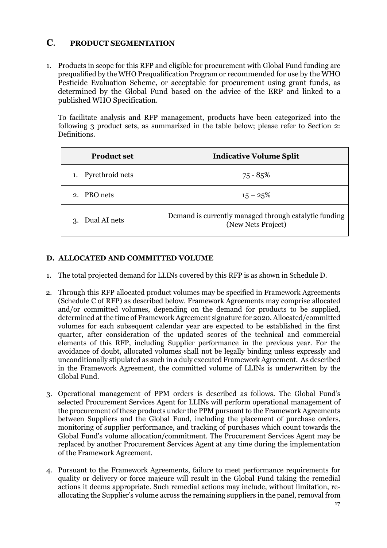## **C**. **PRODUCT SEGMENTATION**

1. Products in scope for this RFP and eligible for procurement with Global Fund funding are prequalified by the WHO Prequalification Program or recommended for use by the WHO Pesticide Evaluation Scheme, or acceptable for procurement using grant funds, as determined by the Global Fund based on the advice of the ERP and linked to a published WHO Specification.

To facilitate analysis and RFP management, products have been categorized into the following 3 product sets, as summarized in the table below; please refer to Section 2: Definitions.

| <b>Product set</b> | <b>Indicative Volume Split</b>                                              |
|--------------------|-----------------------------------------------------------------------------|
| 1. Pyrethroid nets | 75 - 85%                                                                    |
| 2. PBO nets        | $15 - 25\%$                                                                 |
| Dual AI nets<br>3. | Demand is currently managed through catalytic funding<br>(New Nets Project) |

## **D. ALLOCATED AND COMMITTED VOLUME**

- 1. The total projected demand for LLINs covered by this RFP is as shown in Schedule D.
- 2. Through this RFP allocated product volumes may be specified in Framework Agreements (Schedule C of RFP) as described below. Framework Agreements may comprise allocated and/or committed volumes, depending on the demand for products to be supplied, determined at the time of Framework Agreement signature for 2020. Allocated/committed volumes for each subsequent calendar year are expected to be established in the first quarter, after consideration of the updated scores of the technical and commercial elements of this RFP, including Supplier performance in the previous year. For the avoidance of doubt, allocated volumes shall not be legally binding unless expressly and unconditionally stipulated as such in a duly executed Framework Agreement. As described in the Framework Agreement, the committed volume of LLINs is underwritten by the Global Fund.
- 3. Operational management of PPM orders is described as follows. The Global Fund's selected Procurement Services Agent for LLINs will perform operational management of the procurement of these products under the PPM pursuant to the Framework Agreements between Suppliers and the Global Fund, including the placement of purchase orders, monitoring of supplier performance, and tracking of purchases which count towards the Global Fund's volume allocation/commitment. The Procurement Services Agent may be replaced by another Procurement Services Agent at any time during the implementation of the Framework Agreement.
- 4. Pursuant to the Framework Agreements, failure to meet performance requirements for quality or delivery or force majeure will result in the Global Fund taking the remedial actions it deems appropriate. Such remedial actions may include, without limitation, reallocating the Supplier's volume across the remaining suppliers in the panel, removal from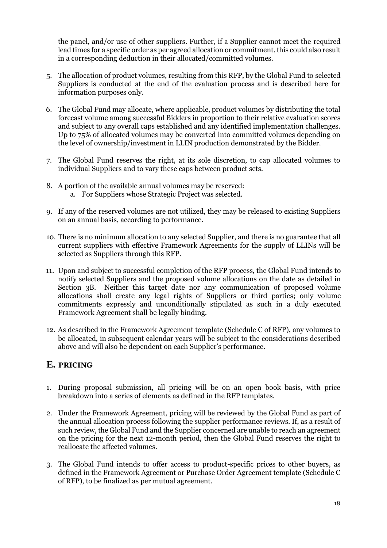the panel, and/or use of other suppliers. Further, if a Supplier cannot meet the required lead times for a specific order as per agreed allocation or commitment, this could also result in a corresponding deduction in their allocated/committed volumes.

- 5. The allocation of product volumes, resulting from this RFP, by the Global Fund to selected Suppliers is conducted at the end of the evaluation process and is described here for information purposes only.
- 6. The Global Fund may allocate, where applicable, product volumes by distributing the total forecast volume among successful Bidders in proportion to their relative evaluation scores and subject to any overall caps established and any identified implementation challenges. Up to 75% of allocated volumes may be converted into committed volumes depending on the level of ownership/investment in LLIN production demonstrated by the Bidder.
- 7. The Global Fund reserves the right, at its sole discretion, to cap allocated volumes to individual Suppliers and to vary these caps between product sets.
- 8. A portion of the available annual volumes may be reserved: a. For Suppliers whose Strategic Project was selected.
- 9. If any of the reserved volumes are not utilized, they may be released to existing Suppliers on an annual basis, according to performance.
- 10. There is no minimum allocation to any selected Supplier, and there is no guarantee that all current suppliers with effective Framework Agreements for the supply of LLINs will be selected as Suppliers through this RFP.
- 11. Upon and subject to successful completion of the RFP process, the Global Fund intends to notify selected Suppliers and the proposed volume allocations on the date as detailed in Section 3B. Neither this target date nor any communication of proposed volume allocations shall create any legal rights of Suppliers or third parties; only volume commitments expressly and unconditionally stipulated as such in a duly executed Framework Agreement shall be legally binding.
- 12. As described in the Framework Agreement template (Schedule C of RFP), any volumes to be allocated, in subsequent calendar years will be subject to the considerations described above and will also be dependent on each Supplier's performance.

## **E. PRICING**

- 1. During proposal submission, all pricing will be on an open book basis, with price breakdown into a series of elements as defined in the RFP templates.
- 2. Under the Framework Agreement, pricing will be reviewed by the Global Fund as part of the annual allocation process following the supplier performance reviews. If, as a result of such review, the Global Fund and the Supplier concerned are unable to reach an agreement on the pricing for the next 12-month period, then the Global Fund reserves the right to reallocate the affected volumes.
- 3. The Global Fund intends to offer access to product-specific prices to other buyers, as defined in the Framework Agreement or Purchase Order Agreement template (Schedule C of RFP), to be finalized as per mutual agreement.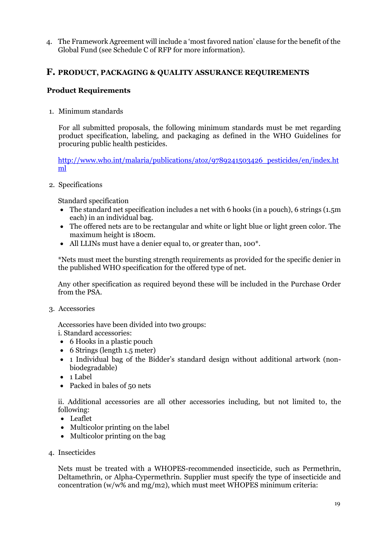4. The Framework Agreement will include a 'most favored nation' clause for the benefit of the Global Fund (see Schedule C of RFP for more information).

## **F. PRODUCT, PACKAGING & QUALITY ASSURANCE REQUIREMENTS**

## **Product Requirements**

1. Minimum standards

For all submitted proposals, the following minimum standards must be met regarding product specification, labeling, and packaging as defined in the WHO Guidelines for procuring public health pesticides.

[http://www.who.int/malaria/publications/atoz/9789241503426\\_pesticides/en/index.ht](http://www.who.int/malaria/publications/atoz/9789241503426_pesticides/en/index.html) [ml](http://www.who.int/malaria/publications/atoz/9789241503426_pesticides/en/index.html) 

2. Specifications

Standard specification

- The standard net specification includes a net with 6 hooks (in a pouch), 6 strings (1.5m) each) in an individual bag.
- The offered nets are to be rectangular and white or light blue or light green color. The maximum height is 180cm.
- All LLINs must have a denier equal to, or greater than, 100\*.

\*Nets must meet the bursting strength requirements as provided for the specific denier in the published WHO specification for the offered type of net.

Any other specification as required beyond these will be included in the Purchase Order from the PSA.

3. Accessories

Accessories have been divided into two groups:

i. Standard accessories:

- 6 Hooks in a plastic pouch
- 6 Strings (length 1.5 meter)
- 1 Individual bag of the Bidder's standard design without additional artwork (nonbiodegradable)
- 1 Label
- Packed in bales of 50 nets

ii. Additional accessories are all other accessories including, but not limited to, the following:

- Leaflet
- Multicolor printing on the label
- Multicolor printing on the bag
- 4. Insecticides

Nets must be treated with a WHOPES-recommended insecticide, such as Permethrin, Deltamethrin, or Alpha-Cypermethrin. Supplier must specify the type of insecticide and concentration (w/w% and mg/m2), which must meet WHOPES minimum criteria: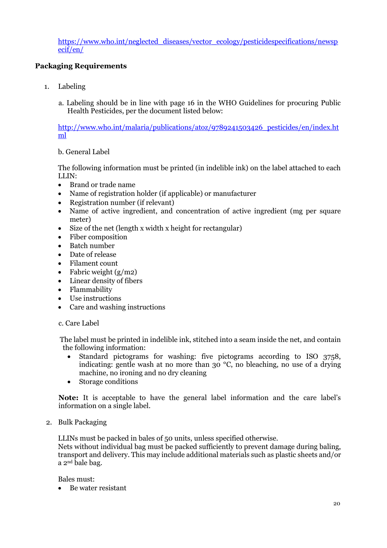[https://www.who.int/neglected\\_diseases/vector\\_ecology/pesticidespecifications/newsp](https://www.who.int/neglected_diseases/vector_ecology/pesticidespecifications/newspecif/en/) [ecif/en/](https://www.who.int/neglected_diseases/vector_ecology/pesticidespecifications/newspecif/en/)

## **Packaging Requirements**

- 1. Labeling
	- a. Labeling should be in line with page 16 in the WHO Guidelines for procuring Public Health Pesticides, per the document listed below:

[http://www.who.int/malaria/publications/atoz/9789241503426\\_pesticides/en/index.ht](http://www.who.int/malaria/publications/atoz/9789241503426_pesticides/en/index.html) [ml](http://www.who.int/malaria/publications/atoz/9789241503426_pesticides/en/index.html)

### b. General Label

The following information must be printed (in indelible ink) on the label attached to each LLIN:

- Brand or trade name
- Name of registration holder (if applicable) or manufacturer
- Registration number (if relevant)
- Name of active ingredient, and concentration of active ingredient (mg per square meter)
- Size of the net (length x width x height for rectangular)
- Fiber composition
- Batch number
- Date of release
- Filament count
- Fabric weight  $(g/m2)$
- Linear density of fibers
- Flammability
- Use instructions
- Care and washing instructions

### c. Care Label

The label must be printed in indelible ink, stitched into a seam inside the net, and contain the following information:

- Standard pictograms for washing: five pictograms according to ISO 3758, indicating: gentle wash at no more than 30 °C, no bleaching, no use of a drying machine, no ironing and no dry cleaning
- Storage conditions

**Note:** It is acceptable to have the general label information and the care label's information on a single label.

#### 2. Bulk Packaging

LLINs must be packed in bales of 50 units, unless specified otherwise.

Nets without individual bag must be packed sufficiently to prevent damage during baling, transport and delivery. This may include additional materials such as plastic sheets and/or a 2nd bale bag.

Bales must:

• Be water resistant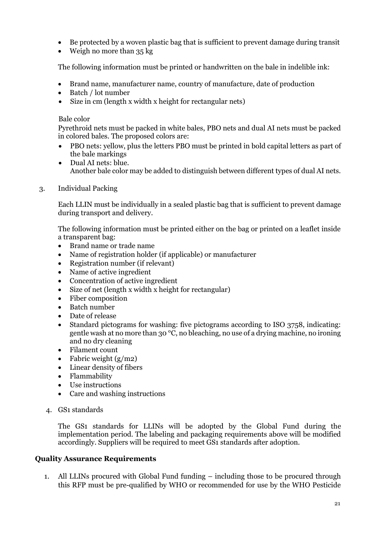- Be protected by a woven plastic bag that is sufficient to prevent damage during transit
- Weigh no more than 35 kg

The following information must be printed or handwritten on the bale in indelible ink:

- Brand name, manufacturer name, country of manufacture, date of production
- Batch / lot number
- Size in cm (length x width x height for rectangular nets)

#### Bale color

Pyrethroid nets must be packed in white bales, PBO nets and dual AI nets must be packed in colored bales. The proposed colors are:

- PBO nets: yellow, plus the letters PBO must be printed in bold capital letters as part of the bale markings
- Dual AI nets: blue. Another bale color may be added to distinguish between different types of dual AI nets.
- 3. Individual Packing

Each LLIN must be individually in a sealed plastic bag that is sufficient to prevent damage during transport and delivery.

The following information must be printed either on the bag or printed on a leaflet inside a transparent bag:

- Brand name or trade name
- Name of registration holder (if applicable) or manufacturer
- Registration number (if relevant)
- Name of active ingredient
- Concentration of active ingredient
- Size of net (length x width x height for rectangular)
- Fiber composition
- Batch number
- Date of release
- Standard pictograms for washing: five pictograms according to ISO 3758, indicating: gentle wash at no more than 30  $\mathrm{^{\circ}C}$ , no bleaching, no use of a drying machine, no ironing and no dry cleaning
- Filament count
- Fabric weight  $(g/m2)$
- Linear density of fibers
- Flammability
- Use instructions
- Care and washing instructions
- 4. GS1 standards

The GS1 standards for LLINs will be adopted by the Global Fund during the implementation period. The labeling and packaging requirements above will be modified accordingly. Suppliers will be required to meet GS1 standards after adoption.

### **Quality Assurance Requirements**

1. All LLINs procured with Global Fund funding – including those to be procured through this RFP must be pre-qualified by WHO or recommended for use by the WHO Pesticide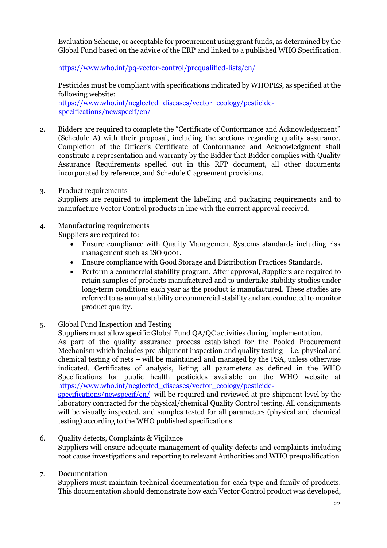Evaluation Scheme, or acceptable for procurement using grant funds, as determined by the Global Fund based on the advice of the ERP and linked to a published WHO Specification.

<https://www.who.int/pq-vector-control/prequalified-lists/en/>

Pesticides must be compliant with specifications indicated by WHOPES, as specified at the following website: [https://www.who.int/neglected\\_diseases/vector\\_ecology/pesticide](https://www.who.int/neglected_diseases/vector_ecology/pesticide-specifications/newspecif/en/)[specifications/newspecif/en/](https://www.who.int/neglected_diseases/vector_ecology/pesticide-specifications/newspecif/en/)

2. Bidders are required to complete the "Certificate of Conformance and Acknowledgement" (Schedule A) with their proposal, including the sections regarding quality assurance. Completion of the Officer's Certificate of Conformance and Acknowledgment shall constitute a representation and warranty by the Bidder that Bidder complies with Quality Assurance Requirements spelled out in this RFP document, all other documents incorporated by reference, and Schedule C agreement provisions.

- 3. Product requirements Suppliers are required to implement the labelling and packaging requirements and to manufacture Vector Control products in line with the current approval received.
- 4. Manufacturing requirements

Suppliers are required to:

- Ensure compliance with Quality Management Systems standards including risk management such as ISO 9001.
- Ensure compliance with Good Storage and Distribution Practices Standards.
- Perform a commercial stability program. After approval, Suppliers are required to retain samples of products manufactured and to undertake stability studies under long-term conditions each year as the product is manufactured. These studies are referred to as annual stability or commercial stability and are conducted to monitor product quality.
- 5. Global Fund Inspection and Testing

Suppliers must allow specific Global Fund QA/QC activities during implementation.

As part of the quality assurance process established for the Pooled Procurement Mechanism which includes pre-shipment inspection and quality testing – i.e. physical and chemical testing of nets – will be maintained and managed by the PSA, unless otherwise indicated. Certificates of analysis, listing all parameters as defined in the WHO Specifications for public health pesticides available on the WHO website at [https://www.who.int/neglected\\_diseases/vector\\_ecology/pesticide](https://www.who.int/neglected_diseases/vector_ecology/pesticide-specifications/newspecif/en/)[specifications/newspecif/en/](https://www.who.int/neglected_diseases/vector_ecology/pesticide-specifications/newspecif/en/) will be required and reviewed at pre-shipment level by the

laboratory contracted for the physical/chemical Quality Control testing. All consignments will be visually inspected, and samples tested for all parameters (physical and chemical testing) according to the WHO published specifications.

6. Quality defects, Complaints & Vigilance Suppliers will ensure adequate management of quality defects and complaints including root cause investigations and reporting to relevant Authorities and WHO prequalification

## 7. Documentation

Suppliers must maintain technical documentation for each type and family of products. This documentation should demonstrate how each Vector Control product was developed,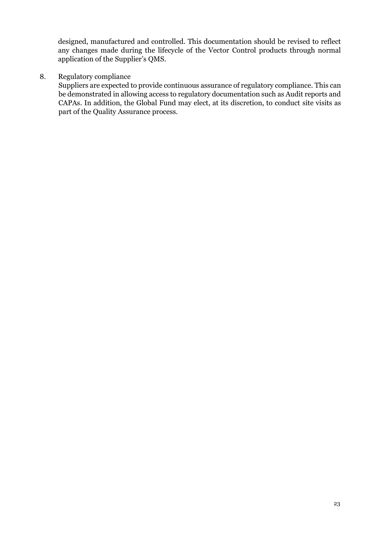designed, manufactured and controlled. This documentation should be revised to reflect any changes made during the lifecycle of the Vector Control products through normal application of the Supplier's QMS.

## 8. Regulatory compliance

Suppliers are expected to provide continuous assurance of regulatory compliance. This can be demonstrated in allowing access to regulatory documentation such as Audit reports and CAPAs. In addition, the Global Fund may elect, at its discretion, to conduct site visits as part of the Quality Assurance process.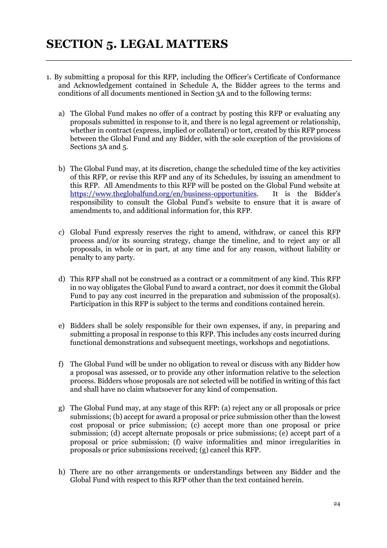- 1. By submitting a proposal for this RFP, including the Officer's Certificate of Conformance and Acknowledgement contained in Schedule A, the Bidder agrees to the terms and conditions of all documents mentioned in Section 3A and to the following terms:
	- a) The Global Fund makes no offer of a contract by posting this RFP or evaluating any proposals submitted in response to it, and there is no legal agreement or relationship, whether in contract (express, implied or collateral) or tort, created by this RFP process between the Global Fund and any Bidder, with the sole exception of the provisions of Sections 3A and 5.
	- b) The Global Fund may, at its discretion, change the scheduled time of the key activities of this RFP, or revise this RFP and any of its Schedules, by issuing an amendment to this RFP. All Amendments to this RFP will be posted on the Global Fund website a[t](https://www.theglobalfund.org/en/business-opportunities) [https://www.theglobalfund.org/en/business-opportunities.](https://www.theglobalfund.org/en/business-opportunities) It is the Bidder's responsibility to consult the Global Fund's website to ensure that it is aware of amendments to, and additional information for, this RFP.
	- c) Global Fund expressly reserves the right to amend, withdraw, or cancel this RFP process and/or its sourcing strategy, change the timeline, and to reject any or all proposals, in whole or in part, at any time and for any reason, without liability or penalty to any party.
	- d) This RFP shall not be construed as a contract or a commitment of any kind. This RFP in no way obligates the Global Fund to award a contract, nor does it commit the Global Fund to pay any cost incurred in the preparation and submission of the proposal(s). Participation in this RFP is subject to the terms and conditions contained herein.
	- e) Bidders shall be solely responsible for their own expenses, if any, in preparing and submitting a proposal in response to this RFP. This includes any costs incurred during functional demonstrations and subsequent meetings, workshops and negotiations.
	- f) The Global Fund will be under no obligation to reveal or discuss with any Bidder how a proposal was assessed, or to provide any other information relative to the selection process. Bidders whose proposals are not selected will be notified in writing of this fact and shall have no claim whatsoever for any kind of compensation.
	- g) The Global Fund may, at any stage of this RFP: (a) reject any or all proposals or price submissions; (b) accept for award a proposal or price submission other than the lowest cost proposal or price submission; (c) accept more than one proposal or price submission; (d) accept alternate proposals or price submissions; (e) accept part of a proposal or price submission; (f) waive informalities and minor irregularities in proposals or price submissions received; (g) cancel this RFP.
	- h) There are no other arrangements or understandings between any Bidder and the Global Fund with respect to this RFP other than the text contained herein.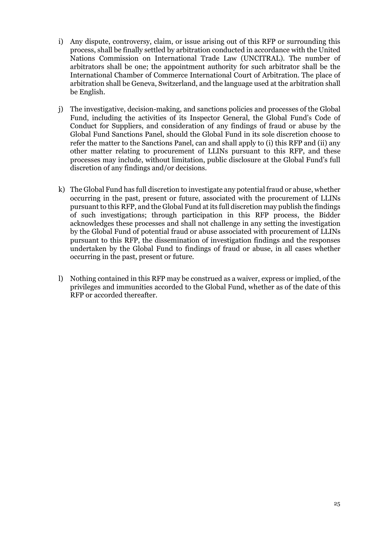- i) Any dispute, controversy, claim, or issue arising out of this RFP or surrounding this process, shall be finally settled by arbitration conducted in accordance with the United Nations Commission on International Trade Law (UNCITRAL). The number of arbitrators shall be one; the appointment authority for such arbitrator shall be the International Chamber of Commerce International Court of Arbitration. The place of arbitration shall be Geneva, Switzerland, and the language used at the arbitration shall be English.
- j) The investigative, decision-making, and sanctions policies and processes of the Global Fund, including the activities of its Inspector General, the Global Fund's Code of Conduct for Suppliers, and consideration of any findings of fraud or abuse by the Global Fund Sanctions Panel, should the Global Fund in its sole discretion choose to refer the matter to the Sanctions Panel, can and shall apply to (i) this RFP and (ii) any other matter relating to procurement of LLINs pursuant to this RFP, and these processes may include, without limitation, public disclosure at the Global Fund's full discretion of any findings and/or decisions.
- k) The Global Fund has full discretion to investigate any potential fraud or abuse, whether occurring in the past, present or future, associated with the procurement of LLINs pursuant to this RFP, and the Global Fund at its full discretion may publish the findings of such investigations; through participation in this RFP process, the Bidder acknowledges these processes and shall not challenge in any setting the investigation by the Global Fund of potential fraud or abuse associated with procurement of LLINs pursuant to this RFP, the dissemination of investigation findings and the responses undertaken by the Global Fund to findings of fraud or abuse, in all cases whether occurring in the past, present or future.
- l) Nothing contained in this RFP may be construed as a waiver, express or implied, of the privileges and immunities accorded to the Global Fund, whether as of the date of this RFP or accorded thereafter.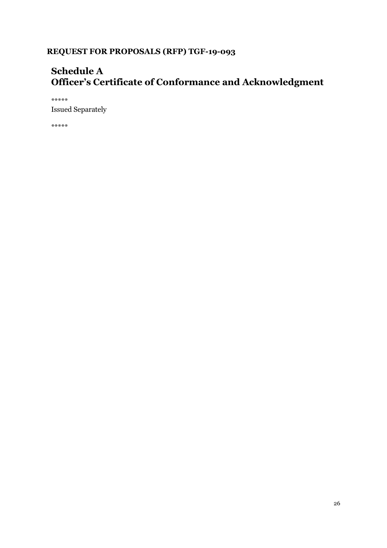## **Schedule A Officer's Certificate of Conformance and Acknowledgment**

\*\*\*\*\* Issued Separately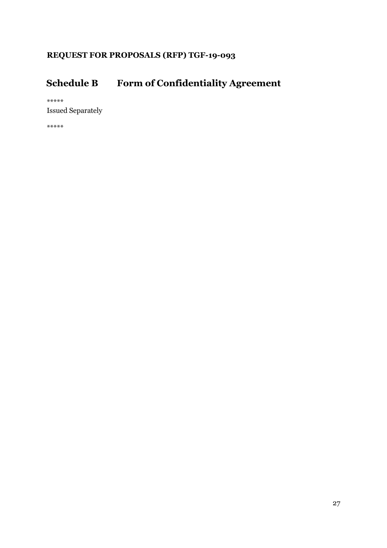# **Schedule B Form of Confidentiality Agreement**

\*\*\*\*\*

Issued Separately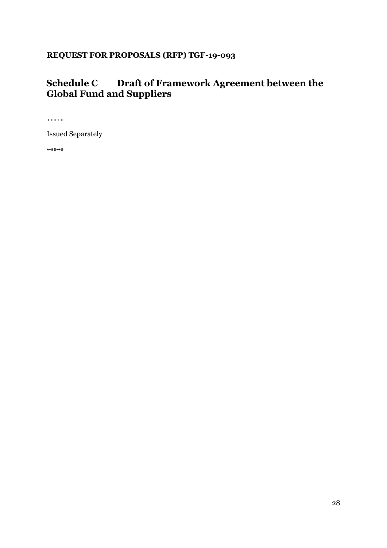## **Schedule C Draft of Framework Agreement between the Global Fund and Suppliers**

\*\*\*\*\*

Issued Separately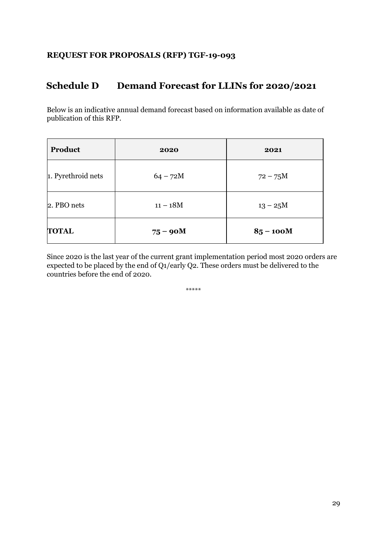## **Schedule D Demand Forecast for LLINs for 2020/2021**

Below is an indicative annual demand forecast based on information available as date of publication of this RFP.

| Product            | 2020       | 2021        |
|--------------------|------------|-------------|
| 1. Pyrethroid nets | $64 - 72M$ | $72 - 75M$  |
| 2. PBO nets        | $11 - 18M$ | $13 - 25M$  |
| <b>TOTAL</b>       | $75 - 90M$ | $85 - 100M$ |

Since 2020 is the last year of the current grant implementation period most 2020 orders are expected to be placed by the end of Q1/early Q2. These orders must be delivered to the countries before the end of 2020.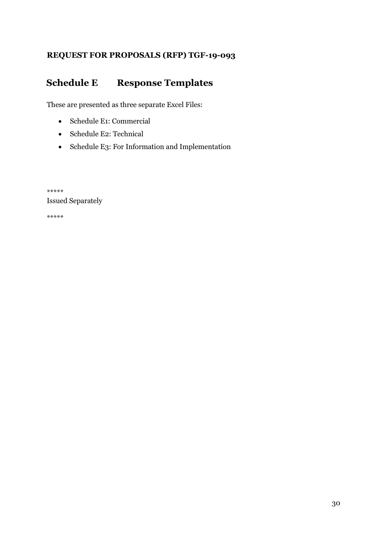## **Schedule E Response Templates**

These are presented as three separate Excel Files:

- Schedule E1: Commercial
- Schedule E2: Technical
- Schedule E3: For Information and Implementation

\*\*\*\*\* Issued Separately